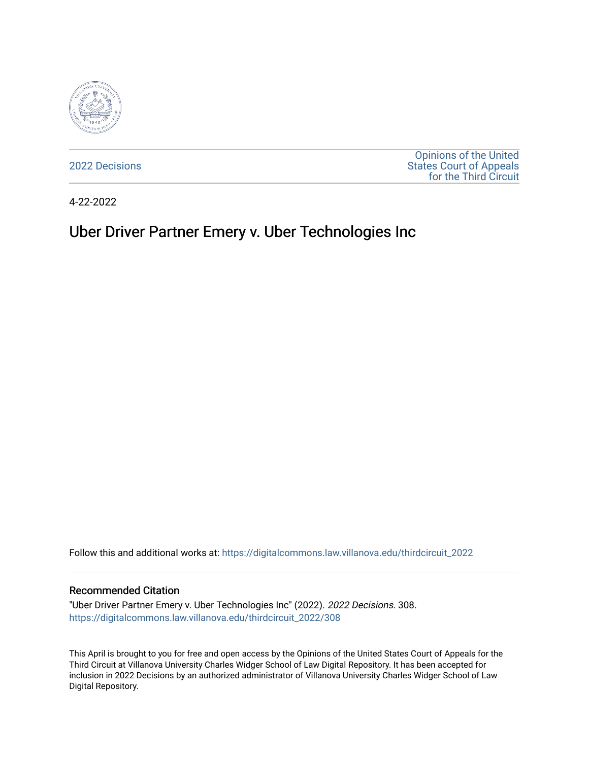

[2022 Decisions](https://digitalcommons.law.villanova.edu/thirdcircuit_2022)

[Opinions of the United](https://digitalcommons.law.villanova.edu/thirdcircuit)  [States Court of Appeals](https://digitalcommons.law.villanova.edu/thirdcircuit)  [for the Third Circuit](https://digitalcommons.law.villanova.edu/thirdcircuit) 

4-22-2022

# Uber Driver Partner Emery v. Uber Technologies Inc

Follow this and additional works at: [https://digitalcommons.law.villanova.edu/thirdcircuit\\_2022](https://digitalcommons.law.villanova.edu/thirdcircuit_2022?utm_source=digitalcommons.law.villanova.edu%2Fthirdcircuit_2022%2F308&utm_medium=PDF&utm_campaign=PDFCoverPages) 

### Recommended Citation

"Uber Driver Partner Emery v. Uber Technologies Inc" (2022). 2022 Decisions. 308. [https://digitalcommons.law.villanova.edu/thirdcircuit\\_2022/308](https://digitalcommons.law.villanova.edu/thirdcircuit_2022/308?utm_source=digitalcommons.law.villanova.edu%2Fthirdcircuit_2022%2F308&utm_medium=PDF&utm_campaign=PDFCoverPages)

This April is brought to you for free and open access by the Opinions of the United States Court of Appeals for the Third Circuit at Villanova University Charles Widger School of Law Digital Repository. It has been accepted for inclusion in 2022 Decisions by an authorized administrator of Villanova University Charles Widger School of Law Digital Repository.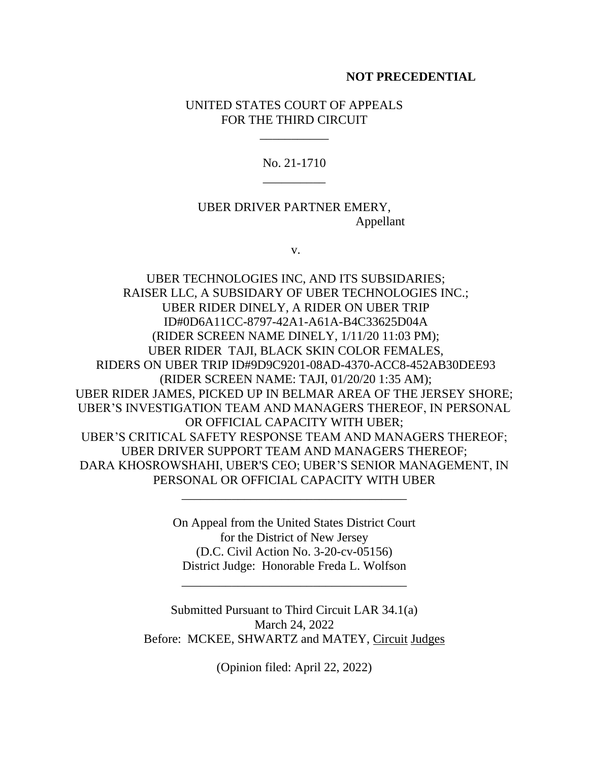### **NOT PRECEDENTIAL**

## UNITED STATES COURT OF APPEALS FOR THE THIRD CIRCUIT

\_\_\_\_\_\_\_\_\_\_\_

No. 21-1710 \_\_\_\_\_\_\_\_\_\_

UBER DRIVER PARTNER EMERY, Appellant

v.

UBER TECHNOLOGIES INC, AND ITS SUBSIDARIES; RAISER LLC, A SUBSIDARY OF UBER TECHNOLOGIES INC.; UBER RIDER DINELY, A RIDER ON UBER TRIP ID#0D6A11CC-8797-42A1-A61A-B4C33625D04A (RIDER SCREEN NAME DINELY, 1/11/20 11:03 PM); UBER RIDER TAJI, BLACK SKIN COLOR FEMALES, RIDERS ON UBER TRIP ID#9D9C9201-08AD-4370-ACC8-452AB30DEE93 (RIDER SCREEN NAME: TAJI, 01/20/20 1:35 AM); UBER RIDER JAMES, PICKED UP IN BELMAR AREA OF THE JERSEY SHORE; UBER'S INVESTIGATION TEAM AND MANAGERS THEREOF, IN PERSONAL OR OFFICIAL CAPACITY WITH UBER; UBER'S CRITICAL SAFETY RESPONSE TEAM AND MANAGERS THEREOF; UBER DRIVER SUPPORT TEAM AND MANAGERS THEREOF; DARA KHOSROWSHAHI, UBER'S CEO; UBER'S SENIOR MANAGEMENT, IN PERSONAL OR OFFICIAL CAPACITY WITH UBER

> On Appeal from the United States District Court for the District of New Jersey (D.C. Civil Action No. 3-20-cv-05156) District Judge: Honorable Freda L. Wolfson

\_\_\_\_\_\_\_\_\_\_\_\_\_\_\_\_\_\_\_\_\_\_\_\_\_\_\_\_\_\_\_\_\_\_\_\_

\_\_\_\_\_\_\_\_\_\_\_\_\_\_\_\_\_\_\_\_\_\_\_\_\_\_\_\_\_\_\_\_\_\_\_\_

Submitted Pursuant to Third Circuit LAR 34.1(a) March 24, 2022 Before: MCKEE, SHWARTZ and MATEY, Circuit Judges

(Opinion filed: April 22, 2022)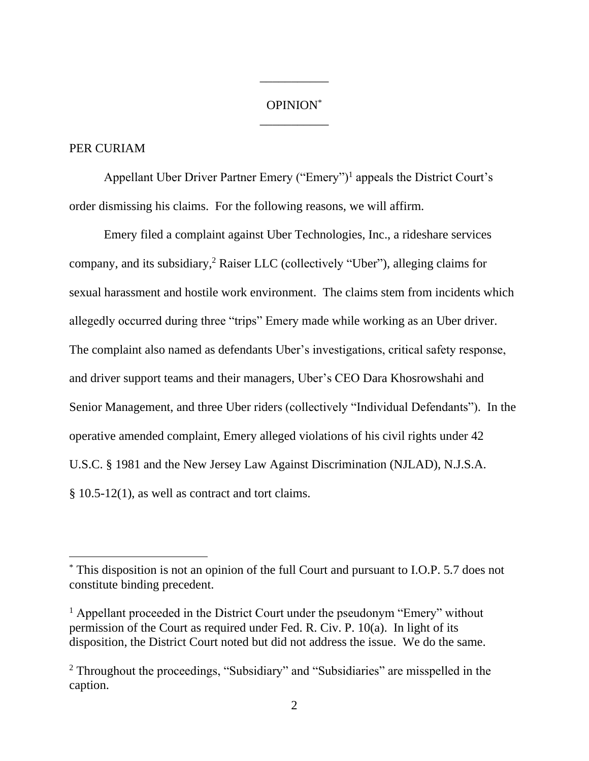# OPINION\* \_\_\_\_\_\_\_\_\_\_\_

\_\_\_\_\_\_\_\_\_\_\_

## PER CURIAM

Appellant Uber Driver Partner Emery ("Emery")<sup>1</sup> appeals the District Court's order dismissing his claims. For the following reasons, we will affirm.

Emery filed a complaint against Uber Technologies, Inc., a rideshare services company, and its subsidiary,<sup>2</sup> Raiser LLC (collectively "Uber"), alleging claims for sexual harassment and hostile work environment. The claims stem from incidents which allegedly occurred during three "trips" Emery made while working as an Uber driver. The complaint also named as defendants Uber's investigations, critical safety response, and driver support teams and their managers, Uber's CEO Dara Khosrowshahi and Senior Management, and three Uber riders (collectively "Individual Defendants"). In the operative amended complaint, Emery alleged violations of his civil rights under 42 U.S.C. § 1981 and the New Jersey Law Against Discrimination (NJLAD), N.J.S.A.  $§ 10.5-12(1)$ , as well as contract and tort claims.

<sup>\*</sup> This disposition is not an opinion of the full Court and pursuant to I.O.P. 5.7 does not constitute binding precedent.

<sup>&</sup>lt;sup>1</sup> Appellant proceeded in the District Court under the pseudonym "Emery" without permission of the Court as required under Fed. R. Civ. P. 10(a). In light of its disposition, the District Court noted but did not address the issue. We do the same.

<sup>2</sup> Throughout the proceedings, "Subsidiary" and "Subsidiaries" are misspelled in the caption.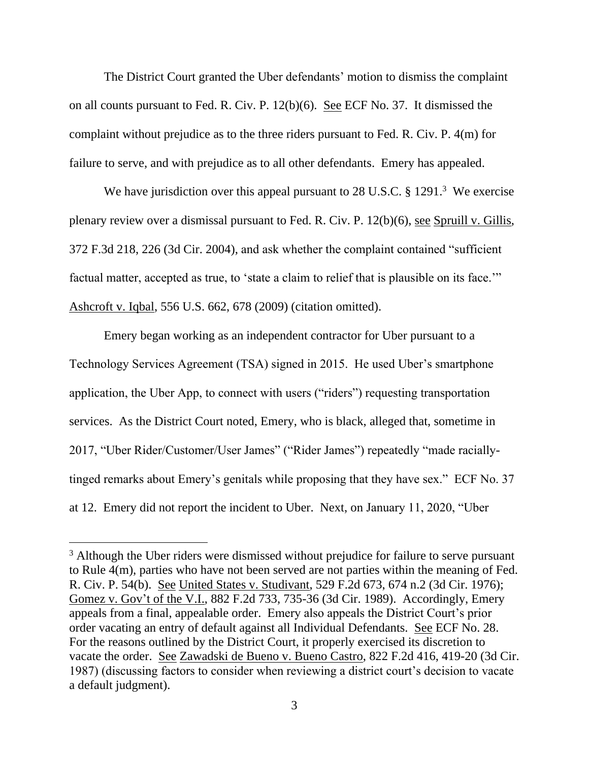The District Court granted the Uber defendants' motion to dismiss the complaint on all counts pursuant to Fed. R. Civ. P. 12(b)(6). See ECF No. 37. It dismissed the complaint without prejudice as to the three riders pursuant to Fed. R. Civ. P. 4(m) for failure to serve, and with prejudice as to all other defendants. Emery has appealed.

We have jurisdiction over this appeal pursuant to  $28$  U.S.C. § 1291.<sup>3</sup> We exercise plenary review over a dismissal pursuant to Fed. R. Civ. P. 12(b)(6), see Spruill v. Gillis, 372 F.3d 218, 226 (3d Cir. 2004), and ask whether the complaint contained "sufficient factual matter, accepted as true, to 'state a claim to relief that is plausible on its face." Ashcroft v. Iqbal, 556 U.S. 662, 678 (2009) (citation omitted).

Emery began working as an independent contractor for Uber pursuant to a Technology Services Agreement (TSA) signed in 2015. He used Uber's smartphone application, the Uber App, to connect with users ("riders") requesting transportation services. As the District Court noted, Emery, who is black, alleged that, sometime in 2017, "Uber Rider/Customer/User James" ("Rider James") repeatedly "made raciallytinged remarks about Emery's genitals while proposing that they have sex." ECF No. 37 at 12. Emery did not report the incident to Uber. Next, on January 11, 2020, "Uber

<sup>&</sup>lt;sup>3</sup> Although the Uber riders were dismissed without prejudice for failure to serve pursuant to Rule 4(m), parties who have not been served are not parties within the meaning of Fed. R. Civ. P. 54(b). See United States v. Studivant, 529 F.2d 673, 674 n.2 (3d Cir. 1976); Gomez v. Gov't of the V.I., 882 F.2d 733, 735-36 (3d Cir. 1989). Accordingly, Emery appeals from a final, appealable order. Emery also appeals the District Court's prior order vacating an entry of default against all Individual Defendants. See ECF No. 28. For the reasons outlined by the District Court, it properly exercised its discretion to vacate the order. See Zawadski de Bueno v. Bueno Castro, 822 F.2d 416, 419-20 (3d Cir. 1987) (discussing factors to consider when reviewing a district court's decision to vacate a default judgment).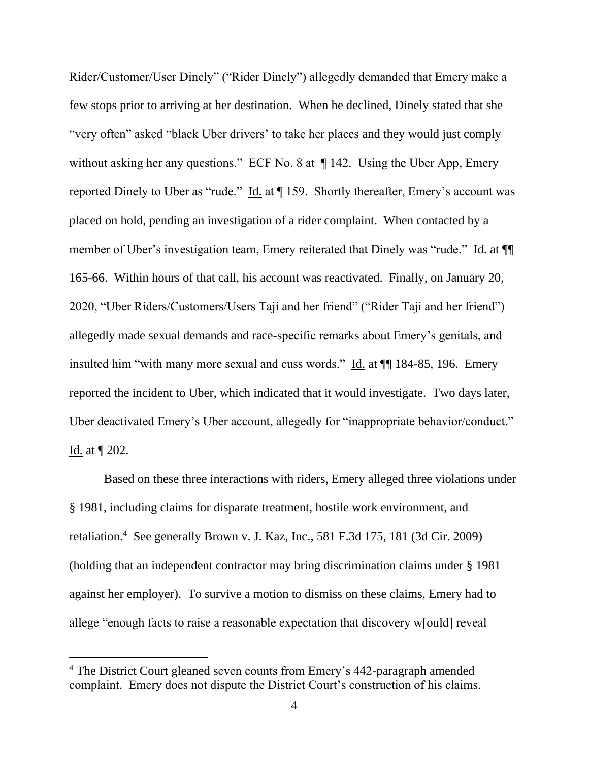Rider/Customer/User Dinely" ("Rider Dinely") allegedly demanded that Emery make a few stops prior to arriving at her destination. When he declined, Dinely stated that she "very often" asked "black Uber drivers' to take her places and they would just comply without asking her any questions." ECF No. 8 at  $\P$  142. Using the Uber App, Emery reported Dinely to Uber as "rude." Id. at ¶ 159. Shortly thereafter, Emery's account was placed on hold, pending an investigation of a rider complaint. When contacted by a member of Uber's investigation team, Emery reiterated that Dinely was "rude." Id. at ¶¶ 165-66. Within hours of that call, his account was reactivated. Finally, on January 20, 2020, "Uber Riders/Customers/Users Taji and her friend" ("Rider Taji and her friend") allegedly made sexual demands and race-specific remarks about Emery's genitals, and insulted him "with many more sexual and cuss words." Id. at  $\P$  184-85, 196. Emery reported the incident to Uber, which indicated that it would investigate. Two days later, Uber deactivated Emery's Uber account, allegedly for "inappropriate behavior/conduct." Id. at ¶ 202.

Based on these three interactions with riders, Emery alleged three violations under § 1981, including claims for disparate treatment, hostile work environment, and retaliation.<sup>4</sup> See generally Brown v. J. Kaz, Inc., 581 F.3d 175, 181 (3d Cir. 2009) (holding that an independent contractor may bring discrimination claims under § 1981 against her employer). To survive a motion to dismiss on these claims, Emery had to allege "enough facts to raise a reasonable expectation that discovery w[ould] reveal

<sup>&</sup>lt;sup>4</sup> The District Court gleaned seven counts from Emery's 442-paragraph amended complaint. Emery does not dispute the District Court's construction of his claims.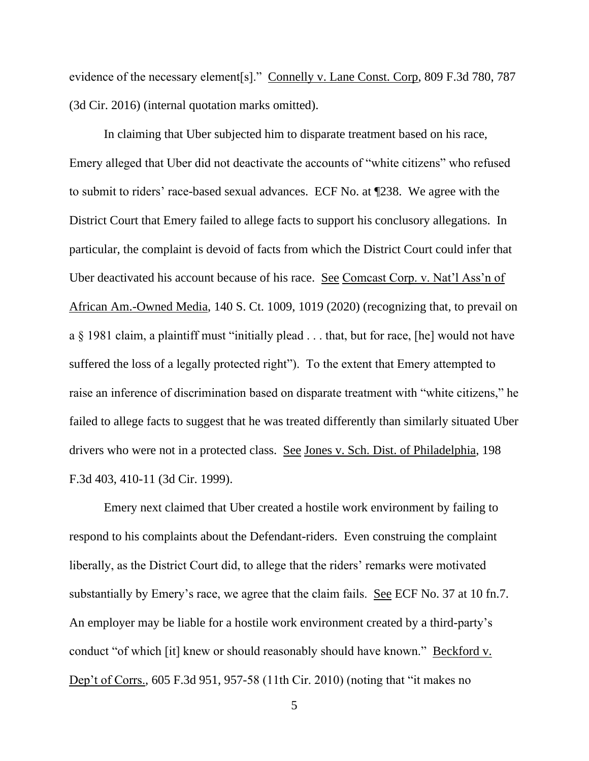evidence of the necessary element[s]." Connelly v. Lane Const. Corp, 809 F.3d 780, 787 (3d Cir. 2016) (internal quotation marks omitted).

In claiming that Uber subjected him to disparate treatment based on his race, Emery alleged that Uber did not deactivate the accounts of "white citizens" who refused to submit to riders' race-based sexual advances. ECF No. at ¶238. We agree with the District Court that Emery failed to allege facts to support his conclusory allegations. In particular, the complaint is devoid of facts from which the District Court could infer that Uber deactivated his account because of his race. See Comcast Corp. v. Nat'l Ass'n of African Am.-Owned Media, 140 S. Ct. 1009, 1019 (2020) (recognizing that, to prevail on a § 1981 claim, a plaintiff must "initially plead . . . that, but for race, [he] would not have suffered the loss of a legally protected right"). To the extent that Emery attempted to raise an inference of discrimination based on disparate treatment with "white citizens," he failed to allege facts to suggest that he was treated differently than similarly situated Uber drivers who were not in a protected class. See Jones v. Sch. Dist. of Philadelphia, 198 F.3d 403, 410-11 (3d Cir. 1999).

Emery next claimed that Uber created a hostile work environment by failing to respond to his complaints about the Defendant-riders. Even construing the complaint liberally, as the District Court did, to allege that the riders' remarks were motivated substantially by Emery's race, we agree that the claim fails. See ECF No. 37 at 10 fn.7. An employer may be liable for a hostile work environment created by a third-party's conduct "of which [it] knew or should reasonably should have known." Beckford v. Dep't of Corrs., 605 F.3d 951, 957-58 (11th Cir. 2010) (noting that "it makes no

5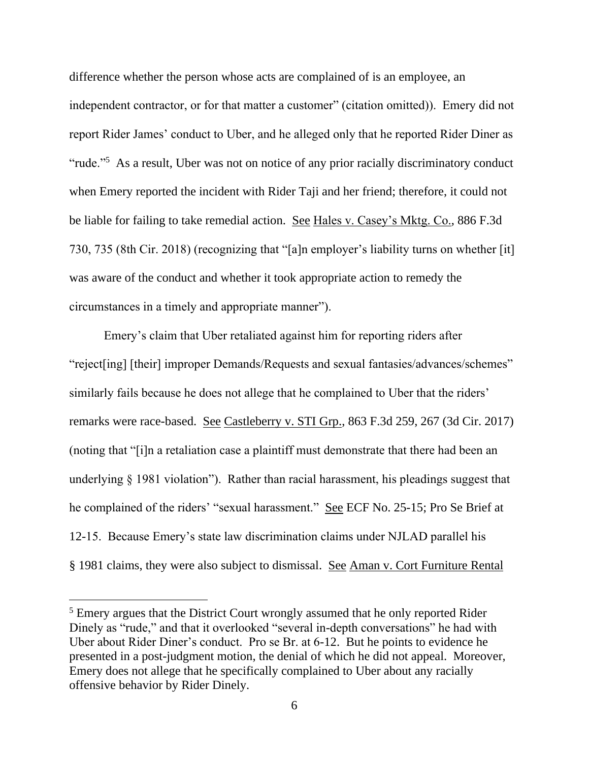difference whether the person whose acts are complained of is an employee, an independent contractor, or for that matter a customer" (citation omitted)). Emery did not report Rider James' conduct to Uber, and he alleged only that he reported Rider Diner as "rude."<sup>5</sup> As a result, Uber was not on notice of any prior racially discriminatory conduct when Emery reported the incident with Rider Taji and her friend; therefore, it could not be liable for failing to take remedial action. See Hales v. Casey's Mktg. Co., 886 F.3d 730, 735 (8th Cir. 2018) (recognizing that "[a]n employer's liability turns on whether [it] was aware of the conduct and whether it took appropriate action to remedy the circumstances in a timely and appropriate manner").

Emery's claim that Uber retaliated against him for reporting riders after "reject[ing] [their] improper Demands/Requests and sexual fantasies/advances/schemes" similarly fails because he does not allege that he complained to Uber that the riders' remarks were race-based. See Castleberry v. STI Grp., 863 F.3d 259, 267 (3d Cir. 2017) (noting that "[i]n a retaliation case a plaintiff must demonstrate that there had been an underlying § 1981 violation"). Rather than racial harassment, his pleadings suggest that he complained of the riders' "sexual harassment." See ECF No. 25-15; Pro Se Brief at 12-15. Because Emery's state law discrimination claims under NJLAD parallel his § 1981 claims, they were also subject to dismissal. See Aman v. Cort Furniture Rental

<sup>&</sup>lt;sup>5</sup> Emery argues that the District Court wrongly assumed that he only reported Rider Dinely as "rude," and that it overlooked "several in-depth conversations" he had with Uber about Rider Diner's conduct. Pro se Br. at 6-12. But he points to evidence he presented in a post-judgment motion, the denial of which he did not appeal. Moreover, Emery does not allege that he specifically complained to Uber about any racially offensive behavior by Rider Dinely.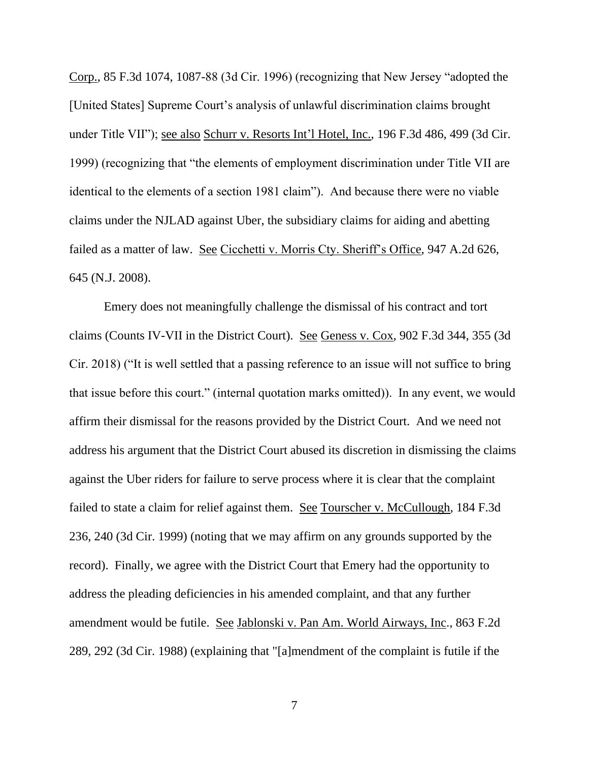Corp., 85 F.3d 1074, 1087-88 (3d Cir. 1996) (recognizing that New Jersey "adopted the [United States] Supreme Court's analysis of unlawful discrimination claims brought under Title VII"); see also Schurr v. Resorts Int'l Hotel, Inc., 196 F.3d 486, 499 (3d Cir. 1999) (recognizing that "the elements of employment discrimination under Title VII are identical to the elements of a section 1981 claim"). And because there were no viable claims under the NJLAD against Uber, the subsidiary claims for aiding and abetting failed as a matter of law. See Cicchetti v. Morris Cty. Sheriff's Office, 947 A.2d 626, 645 (N.J. 2008).

Emery does not meaningfully challenge the dismissal of his contract and tort claims (Counts IV-VII in the District Court). See Geness v. Cox, 902 F.3d 344, 355 (3d Cir. 2018) ("It is well settled that a passing reference to an issue will not suffice to bring that issue before this court." (internal quotation marks omitted)). In any event, we would affirm their dismissal for the reasons provided by the District Court. And we need not address his argument that the District Court abused its discretion in dismissing the claims against the Uber riders for failure to serve process where it is clear that the complaint failed to state a claim for relief against them. See Tourscher v. McCullough, 184 F.3d 236, 240 (3d Cir. 1999) (noting that we may affirm on any grounds supported by the record). Finally, we agree with the District Court that Emery had the opportunity to address the pleading deficiencies in his amended complaint, and that any further amendment would be futile. See Jablonski v. Pan Am. World Airways, Inc., 863 F.2d 289, 292 (3d Cir. 1988) (explaining that "[a]mendment of the complaint is futile if the